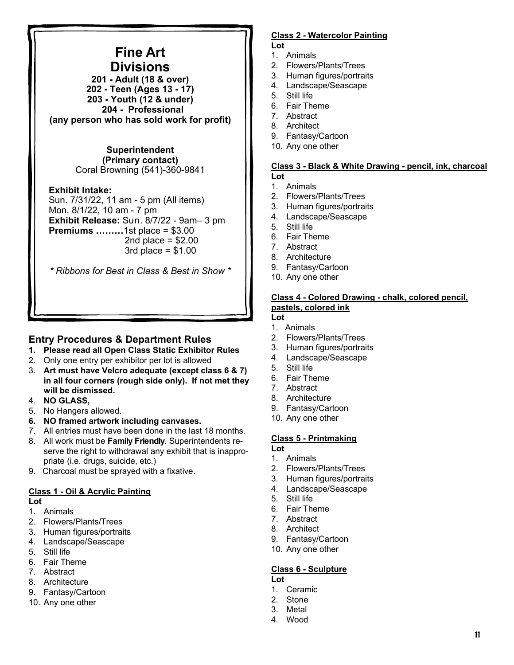# **Fine Art Divisions**

**201 - Adult (18 & over) 202 - Teen (Ages 13 - 17) 203 - Youth (12 & under) 204 - Professional (any person who has sold work for profit)** 

#### **Superintendent (Primary contact)**  Coral Browning (541)-360-9841

#### **Exhibit Intake:**

Sun. 7/31/22, 11 am - 5 pm (All items) Mon. 8/1/22, 10 am - 7 pm **Exhibit Release:** Sun. 8/7/22 - 9am– 3 pm **Premiums ………**1st place = \$3.00 2nd place  $= $2.00$  $3rd$  place =  $$1.00$ 

*\* Ribbons for Best in Class & Best in Show \** 

# **Entry Procedures & Department Rules**

- **1. Please read all Open Class Static Exhibitor Rules**
- 2. Only one entry per exhibitor per lot is allowed
- 3. **Art must have Velcro adequate (except class 6 & 7) in all four corners (rough side only). If not met they will be dismissed.**
- 4. **NO GLASS,**
- 5. No Hangers allowed.
- **6. NO framed artwork including canvases.**
- 7. All entries must have been done in the last 18 months.
- 8. All work must be **Family Friendly**. Superintendents reserve the right to withdrawal any exhibit that is inappropriate (i.e. drugs, suicide, etc.)
- 9. Charcoal must be sprayed with a fixative.

## **Class 1 - Oil & Acrylic Painting**

#### **Lot**

- 1. Animals
- 2. Flowers/Plants/Trees
- 3. Human figures/portraits
- 4. Landscape/Seascape
- 5. Still life
- 6. Fair Theme
- 7. Abstract
- 8. Architecture
- 9. Fantasy/Cartoon
- 10. Any one other

#### **Class 2 - Watercolor Painting Lot**

- 1. Animals
- 2. Flowers/Plants/Trees
- 3. Human figures/portraits
- 4. Landscape/Seascape
- 5. Still life
- 6. Fair Theme
- 7. Abstract
- 8. Architect
- 9. Fantasy/Cartoon
- 10. Any one other

#### **Class 3 - Black & White Drawing - pencil, ink, charcoal Lot**

- 1. Animals
- 2. Flowers/Plants/Trees
- 3. Human figures/portraits
- 4. Landscape/Seascape
- 5. Still life
- 6. Fair Theme
- 7. Abstract
- 8. Architecture
- 9. Fantasy/Cartoon
- 10. Any one other

## **Class 4 - Colored Drawing - chalk, colored pencil, pastels, colored ink**

- **Lot**
- 1. Animals 2. Flowers/Plants/Trees
- 3. Human figures/portraits
- 4. Landscape/Seascape
- 
- 5. Still life 6. Fair Theme
- 7. Abstract
- 8. Architecture
- 9. Fantasy/Cartoon
- 10. Any one other

# **Class 5 - Printmaking**

- **Lot**
- 1. Animals
- 2. Flowers/Plants/Trees
- 3. Human figures/portraits
- 4. Landscape/Seascape
- 5. Still life
- 6. Fair Theme
- 7. Abstract
- 8. Architect
- 9. Fantasy/Cartoon
- 10. Any one other

#### **Class 6 - Sculpture Lot**

- 1. Ceramic
- 2. Stone
- 3. Metal
- 4. Wood